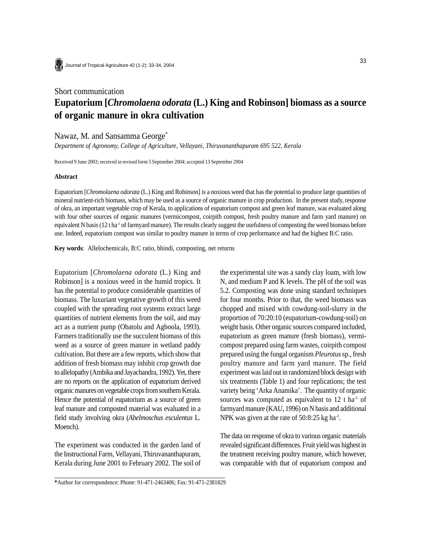

Journal of Tropical Agriculture 42 (1-2): 33-34, 2004

# Short communication **Eupatorium [***Chromolaena odorata* **(L.) King and Robinson] biomass as a source of organic manure in okra cultivation**

## Nawaz, M. and Sansamma George\*

*Department of Agronomy, College of Agriculture, Vellayani, Thiruvananthapuram 695 522, Kerala*

Received 9 June 2003; received in revised form 5 September 2004; accepted 13 September 2004

#### **Abstract**

Eupatorium [*Chromolaena odorata* (L.) King and Robinson] is a noxious weed that has the potential to produce large quantities of mineral nutrient-rich biomass, which may be used as a source of organic manure in crop production. In the present study, response of okra, an important vegetable crop of Kerala, to applications of eupatorium compost and green leaf manure, was evaluated along with four other sources of organic manures (vermicompost, coirpith compost, fresh poultry manure and farm yard manure) on equivalent N basis (12 t ha<sup>-1</sup> of farmyard manure). The results clearly suggest the usefulness of composting the weed biomass before use. Indeed, eupatorium compost was similar to poultry manure in terms of crop performance and had the highest B:C ratio.

**Key words**: Allelochemicals, B:C ratio, bhindi, composting, net returns

Eupatorium [*Chromolaena odorata* (L.) King and Robinson] is a noxious weed in the humid tropics. It has the potential to produce considerable quantities of biomass. The luxuriant vegetative growth of this weed coupled with the spreading root systems extract large quantities of nutrient elements from the soil, and may act as a nutrient pump (Obatolu and Agboola, 1993). Farmers traditionally use the succulent biomass of this weed as a source of green manure in wetland paddy cultivation. But there are a few reports, which show that addition of fresh biomass may inhibit crop growth due to allelopathy (Ambika and Jayachandra, 1992). Yet, there are no reports on the application of eupatorium derived organic manures on vegetable crops from southern Kerala. Hence the potential of eupatorium as a source of green leaf manure and composted material was evaluated in a field study involving okra (*Abelmoschus esculentus* L. Moench).

The experiment was conducted in the garden land of the Instructional Farm, Vellayani, Thiruvananthapuram, Kerala during June 2001 to February 2002. The soil of the experimental site was a sandy clay loam, with low N, and medium P and K levels. The pH of the soil was 5.2. Composting was done using standard techniques for four months. Prior to that, the weed biomass was chopped and mixed with cowdung-soil-slurry in the proportion of 70:20:10 (eupatorium-cowdung-soil) on weight basis. Other organic sources compared included, eupatorium as green manure (fresh biomass), vermicompost prepared using farm wastes, coirpith compost prepared using the fungal organism *Pleurotus* sp., fresh poultry manure and farm yard manure. The field experiment was laid out in randomized block design with six treatments (Table 1) and four replications; the test variety being 'Arka Anamika'. The quantity of organic sources was computed as equivalent to  $12$  t ha<sup>-1</sup> of farmyard manure (KAU, 1996) on N basis and additional NPK was given at the rate of  $50:8:25$  kg ha<sup>-1</sup>.

The data on response of okra to various organic materials revealed significant differences. Fruit yield was highest in the treatment receiving poultry manure, which however, was comparable with that of eupatorium compost and

**<sup>\*</sup>**Author for correspondence: Phone: 91-471-2463406; Fax: 91-471-2381829